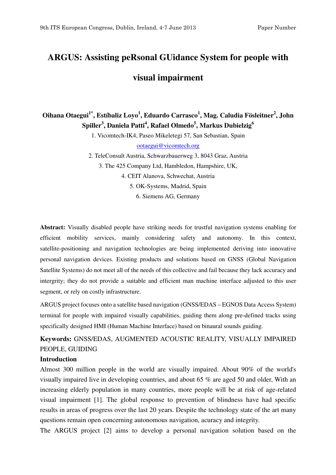# **ARGUS: Assisting peRsonal GUidance System for people with visual impairment**

**Oihana Otaegui1\*, Estíbaliz Loyo<sup>1</sup> , Eduardo Carrasco<sup>1</sup> , Mag. Caludia Fösleitner<sup>2</sup> , John**   $\mathbf{Spiller}^{3}, \mathbf{Daniela}$   $\mathbf{Patti}^{4}, \mathbf{Rafael}$   $\mathbf{Olmedo}^{5}, \mathbf{Markus}$   $\mathbf{Dubielzig}^{6}$ 

1. Vicomtech-IK4, Paseo Mikeletegi 57, San Sebastian, Spain

ootaegui@vicomtech.org

2. TeleConsult Austria, Schwarzbauerweg 3, 8043 Graz, Austria 3. The 425 Company Ltd, Hambledon, Hampshire, UK, 4. CEIT Alanova, Schwechat, Austria 5. OK-Systems, Madrid, Spain 6. Siemens AG, Germany

**Abstract:** Visually disabled people have striking needs for trustful navigation systems enabling for efficient mobility services, mainly considering safety and autonomy. In this context, satellite-positioning and navigation technologies are being implemented deriving into innovative personal navigation devices. Existing products and solutions based on GNSS (Global Navigation Satellite Systems) do not meet all of the needs of this collective and fail because they lack accuracy and intergrity; they do not provide a suitable and efficient man machine interface adjusted to this user segment, or rely on costly infrastructure.

ARGUS project focuses onto a satellite based navigation (GNSS/EDAS – EGNOS Data Access System) terminal for people with impaired visually capabilities, guiding them along pre-defined tracks using specifically designed HMI (Human Machine Interface) based on binaural sounds guiding.

**Keywords:** GNSS/EDAS, AUGMENTED ACOUSTIC REALITY, VISUALLY IMPAIRED PEOPLE, GUIDING

#### **Introduction**

Almost 300 million people in the world are visually impaired. About 90% of the world's visually impaired live in developing countries, and about 65 % are aged 50 and older, With an increasing elderly population in many countries, more people will be at risk of age-related visual impairment [1]. The global response to prevention of blindness have had specific results in areas of progress over the last 20 years. Despite the technology state of the art many questions remain open concerning autonomous navigation, acuracy and integrity.

The ARGUS project [2] aims to develop a personal navigation solution based on the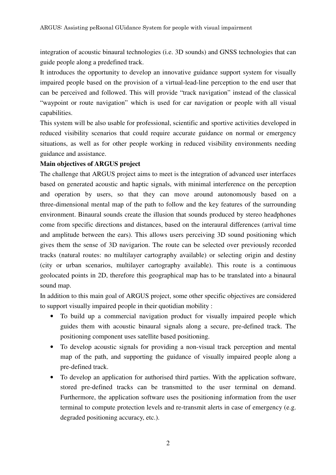integration of acoustic binaural technologies (i.e. 3D sounds) and GNSS technologies that can guide people along a predefined track.

It introduces the opportunity to develop an innovative guidance support system for visually impaired people based on the provision of a virtual-lead-line perception to the end user that can be perceived and followed. This will provide "track navigation" instead of the classical "waypoint or route navigation" which is used for car navigation or people with all visual capabilities.

This system will be also usable for professional, scientific and sportive activities developed in reduced visibility scenarios that could require accurate guidance on normal or emergency situations, as well as for other people working in reduced visibility environments needing guidance and assistance.

# **Main objectives of ARGUS project**

The challenge that ARGUS project aims to meet is the integration of advanced user interfaces based on generated acoustic and haptic signals, with minimal interference on the perception and operation by users, so that they can move around autonomously based on a three-dimensional mental map of the path to follow and the key features of the surrounding environment. Binaural sounds create the illusion that sounds produced by stereo headphones come from specific directions and distances, based on the interaural differences (arrival time and amplitude between the ears). This allows users perceiving 3D sound positioning which gives them the sense of 3D navigarion. The route can be selected over previously recorded tracks (natural routes: no multilayer cartography available) or selecting origin and destiny (city or urban scenarios, multilayer cartography available). This route is a continuous geolocated points in 2D, therefore this geographical map has to be translated into a binaural sound map.

In addition to this main goal of ARGUS project, some other specific objectives are considered to support visually impaired people in their quotidian mobility :

- To build up a commercial navigation product for visually impaired people which guides them with acoustic binaural signals along a secure, pre-defined track. The positioning component uses satellite based positioning.
- To develop acoustic signals for providing a non-visual track perception and mental map of the path, and supporting the guidance of visually impaired people along a pre-defined track.
- To develop an application for authorised third parties. With the application software, stored pre-defined tracks can be transmitted to the user terminal on demand. Furthermore, the application software uses the positioning information from the user terminal to compute protection levels and re-transmit alerts in case of emergency (e.g. degraded positioning accuracy, etc.).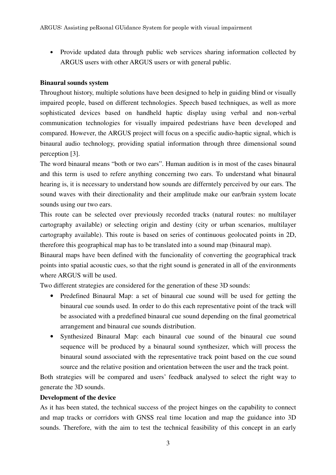• Provide updated data through public web services sharing information collected by ARGUS users with other ARGUS users or with general public.

### **Binaural sounds system**

Throughout history, multiple solutions have been designed to help in guiding blind or visually impaired people, based on different technologies. Speech based techniques, as well as more sophisticated devices based on handheld haptic display using verbal and non-verbal communication technologies for visually impaired pedestrians have been developed and compared. However, the ARGUS project will focus on a specific audio-haptic signal, which is binaural audio technology, providing spatial information through three dimensional sound perception [3].

The word binaural means "both or two ears". Human audition is in most of the cases binaural and this term is used to refere anything concerning two ears. To understand what binaural hearing is, it is necessary to understand how sounds are differntely perceived by our ears. The sound waves with their directionality and their amplitude make our ear/brain system locate sounds using our two ears.

This route can be selected over previously recorded tracks (natural routes: no multilayer cartography available) or selecting origin and destiny (city or urban scenarios, multilayer cartography available). This route is based on series of continuous geolocated points in 2D, therefore this geographical map has to be translated into a sound map (binaural map).

Binaural maps have been defined with the funcionality of converting the geographical track points into spatial acoustic cues, so that the right sound is generated in all of the environments where ARGUS will be used.

Two different strategies are considered for the generation of these 3D sounds:

- Predefined Binaural Map: a set of binaural cue sound will be used for getting the binaural cue sounds used. In order to do this each representative point of the track will be associated with a predefined binaural cue sound depending on the final geometrical arrangement and binaural cue sounds distribution.
- Synthesized Binaural Map: each binaural cue sound of the binaural cue sound sequence will be produced by a binaural sound synthesizer, which will process the binaural sound associated with the representative track point based on the cue sound source and the relative position and orientation between the user and the track point.

Both strategies will be compared and users' feedback analysed to select the right way to generate the 3D sounds.

#### **Development of the device**

As it has been stated, the technical success of the project hinges on the capability to connect and map tracks or corridors with GNSS real time location and map the guidance into 3D sounds. Therefore, with the aim to test the technical feasibility of this concept in an early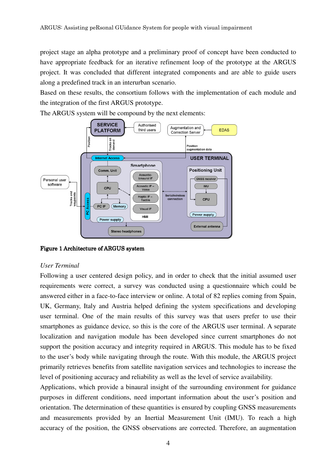project stage an alpha prototype and a preliminary proof of concept have been conducted to have appropriate feedback for an iterative refinement loop of the prototype at the ARGUS project. It was concluded that different integrated components and are able to guide users along a predefined track in an interurban scenario.

Based on these results, the consortium follows with the implementation of each module and the integration of the first ARGUS prototype.

The ARGUS system will be compound by the next elements:



Figure 1 Architecture of ARGUS system

#### *User Terminal*

Following a user centered design policy, and in order to check that the initial assumed user requirements were correct, a survey was conducted using a questionnaire which could be answered either in a face-to-face interview or online. A total of 82 replies coming from Spain, UK, Germany, Italy and Austria helped defining the system specifications and developing user terminal. One of the main results of this survey was that users prefer to use their smartphones as guidance device, so this is the core of the ARGUS user terminal. A separate localization and navigation module has been developed since current smartphones do not support the position accuracy and integrity required in ARGUS. This module has to be fixed to the user's body while navigating through the route. With this module, the ARGUS project primarily retrieves benefits from satellite navigation services and technologies to increase the level of positioning accuracy and reliability as well as the level of service availability.

Applications, which provide a binaural insight of the surrounding environment for guidance purposes in different conditions, need important information about the user's position and orientation. The determination of these quantities is ensured by coupling GNSS measurements and measurements provided by an Inertial Measurement Unit (IMU). To reach a high accuracy of the position, the GNSS observations are corrected. Therefore, an augmentation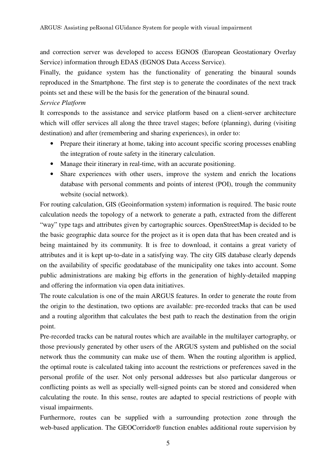and correction server was developed to access EGNOS (European Geostationary Overlay Service) information through EDAS (EGNOS Data Access Service).

Finally, the guidance system has the functionality of generating the binaural sounds reproduced in the Smartphone. The first step is to generate the coordinates of the next track points set and these will be the basis for the generation of the binaural sound.

# *Service Platform*

It corresponds to the assistance and service platform based on a client-server architecture which will offer services all along the three travel stages; before (planning), during (visiting destination) and after (remembering and sharing experiences), in order to:

- Prepare their itinerary at home, taking into account specific scoring processes enabling the integration of route safety in the itinerary calculation.
- Manage their itinerary in real-time, with an accurate positioning.
- Share experiences with other users, improve the system and enrich the locations database with personal comments and points of interest (POI), trough the community website (social network).

For routing calculation, GIS (Geoinformation system) information is required. The basic route calculation needs the topology of a network to generate a path, extracted from the different "way" type tags and attributes given by cartographic sources. OpenStreetMap is decided to be the basic geographic data source for the project as it is open data that has been created and is being maintained by its community. It is free to download, it contains a great variety of attributes and it is kept up-to-date in a satisfying way. The city GIS database clearly depends on the availability of specific geodatabase of the municipality one takes into account. Some public administrations are making big efforts in the generation of highly-detailed mapping and offering the information via open data initiatives.

The route calculation is one of the main ARGUS features. In order to generate the route from the origin to the destination, two options are available: pre-recorded tracks that can be used and a routing algorithm that calculates the best path to reach the destination from the origin point.

Pre-recorded tracks can be natural routes which are available in the multilayer cartography, or those previously generated by other users of the ARGUS system and published on the social network thus the community can make use of them. When the routing algorithm is applied, the optimal route is calculated taking into account the restrictions or preferences saved in the personal profile of the user. Not only personal addresses but also particular dangerous or conflicting points as well as specially well-signed points can be stored and considered when calculating the route. In this sense, routes are adapted to special restrictions of people with visual impairments.

Furthermore, routes can be supplied with a surrounding protection zone through the web-based application. The GEOCorridor® function enables additional route supervision by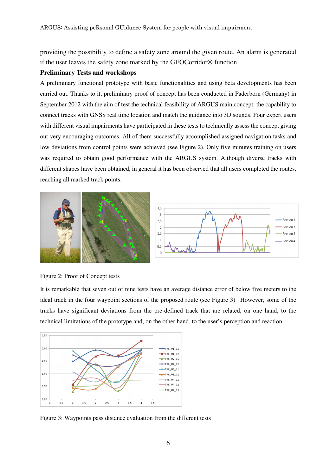providing the possibility to define a safety zone around the given route. An alarm is generated if the user leaves the safety zone marked by the GEOCorridor® function.

#### **Preliminary Tests and workshops**

A preliminary functional prototype with basic functionalities and using beta developments has been carried out. Thanks to it, preliminary proof of concept has been conducted in Paderborn (Germany) in September 2012 with the aim of test the technical feasibility of ARGUS main concept: the capability to connect tracks with GNSS real time location and match the guidance into 3D sounds. Four expert users with different visual impairments have participated in these tests to technically assess the concept giving out very encouraging outcomes. All of them successfully accomplished assigned navigation tasks and low deviations from control points were achieved (see Figure 2). Only five minutes training on users was required to obtain good performance with the ARGUS system. Although diverse tracks with different shapes have been obtained, in general it has been observed that all users completed the routes, reaching all marked track points.





It is remarkable that seven out of nine tests have an average distance error of below five meters to the ideal track in the four waypoint sections of the proposed route (see Figure 3) However, some of the tracks have significant deviations from the pre-defined track that are related, on one hand, to the technical limitations of the prototype and, on the other hand, to the user's perception and reaction.



Figure 3: Waypoints pass distance evaluation from the different tests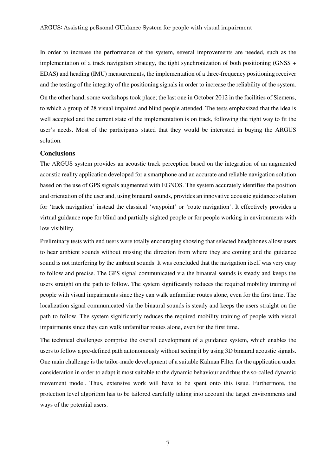In order to increase the performance of the system, several improvements are needed, such as the implementation of a track navigation strategy, the tight synchronization of both positioning (GNSS + EDAS) and heading (IMU) measurements, the implementation of a three-frequency positioning receiver and the testing of the integrity of the positioning signals in order to increase the reliability of the system. On the other hand, some workshops took place; the last one in October 2012 in the facilities of Siemens, to which a group of 28 visual impaired and blind people attended. The tests emphasized that the idea is well accepted and the current state of the implementation is on track, following the right way to fit the user's needs. Most of the participants stated that they would be interested in buying the ARGUS solution.

#### **Conclusions**

The ARGUS system provides an acoustic track perception based on the integration of an augmented acoustic reality application developed for a smartphone and an accurate and reliable navigation solution based on the use of GPS signals augmented with EGNOS. The system accurately identifies the position and orientation of the user and, using binaural sounds, provides an innovative acoustic guidance solution for 'track navigation' instead the classical 'waypoint' or 'route navigation'. It effectively provides a virtual guidance rope for blind and partially sighted people or for people working in environments with low visibility.

Preliminary tests with end users were totally encouraging showing that selected headphones allow users to hear ambient sounds without missing the direction from where they are coming and the guidance sound is not interfering by the ambient sounds. It was concluded that the navigation itself was very easy to follow and precise. The GPS signal communicated via the binaural sounds is steady and keeps the users straight on the path to follow. The system significantly reduces the required mobility training of people with visual impairments since they can walk unfamiliar routes alone, even for the first time. The localization signal communicated via the binaural sounds is steady and keeps the users straight on the path to follow. The system significantly reduces the required mobility training of people with visual impairments since they can walk unfamiliar routes alone, even for the first time.

The technical challenges comprise the overall development of a guidance system, which enables the users to follow a pre-defined path autonomously without seeing it by using 3D binaural acoustic signals. One main challenge is the tailor-made development of a suitable Kalman Filter for the application under consideration in order to adapt it most suitable to the dynamic behaviour and thus the so-called dynamic movement model. Thus, extensive work will have to be spent onto this issue. Furthermore, the protection level algorithm has to be tailored carefully taking into account the target environments and ways of the potential users.